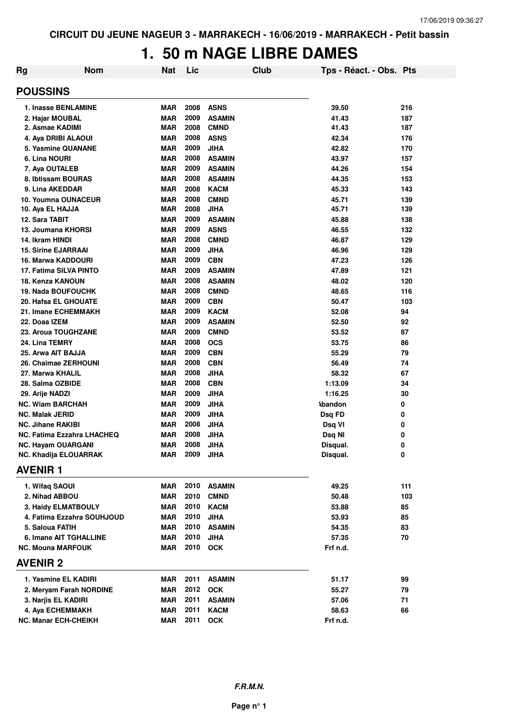## **1. 50 m NAGE LIBRE DAMES**

| <b>Rg</b>                         | <b>Nom</b>                 | <b>Nat</b> | Lic  |               | Club | Tps - Réact. - Obs. Pts |     |
|-----------------------------------|----------------------------|------------|------|---------------|------|-------------------------|-----|
| <b>POUSSINS</b>                   |                            |            |      |               |      |                         |     |
| 1. Inasse BENLAMINE               |                            | <b>MAR</b> | 2008 | <b>ASNS</b>   |      | 39.50                   | 216 |
| 2. Hajar MOUBAL                   |                            | <b>MAR</b> | 2009 | <b>ASAMIN</b> |      | 41.43                   | 187 |
| 2. Asmae KADIMI                   |                            | <b>MAR</b> | 2008 | <b>CMND</b>   |      | 41.43                   | 187 |
| 4. Aya DRIBI ALAOUI               |                            | <b>MAR</b> | 2008 | <b>ASNS</b>   |      | 42.34                   | 176 |
| 5. Yasmine QUANANE                |                            | <b>MAR</b> | 2009 | <b>JIHA</b>   |      | 42.82                   | 170 |
| 6. Lina NOURI                     |                            | <b>MAR</b> | 2008 | <b>ASAMIN</b> |      | 43.97                   | 157 |
| 7. Aya OUTALEB                    |                            | <b>MAR</b> | 2009 | <b>ASAMIN</b> |      | 44.26                   | 154 |
| 8. Ibtissam BOURAS                |                            | <b>MAR</b> | 2008 | <b>ASAMIN</b> |      | 44.35                   | 153 |
| 9. Lina AKEDDAR                   |                            | <b>MAR</b> | 2008 | <b>KACM</b>   |      | 45.33                   | 143 |
| 10. Youmna OUNACEUR               |                            | <b>MAR</b> | 2008 | <b>CMND</b>   |      | 45.71                   | 139 |
| 10. Aya EL HAJJA                  |                            | MAR        | 2008 | <b>JIHA</b>   |      | 45.71                   | 139 |
| 12. Sara TABIT                    |                            | <b>MAR</b> | 2009 | <b>ASAMIN</b> |      | 45.88                   | 138 |
| 13. Joumana KHORSI                |                            | <b>MAR</b> | 2009 | <b>ASNS</b>   |      | 46.55                   | 132 |
| 14. Ikram HINDI                   |                            | <b>MAR</b> | 2008 | <b>CMND</b>   |      | 46.87                   | 129 |
| <b>15. Sirine EJARRAAI</b>        |                            | MAR        | 2009 | <b>JIHA</b>   |      | 46.96                   | 129 |
| 16. Marwa KADDOURI                |                            | MAR        | 2009 | <b>CBN</b>    |      | 47.23                   | 126 |
| 17. Fatima SILVA PINTO            |                            | <b>MAR</b> | 2009 | <b>ASAMIN</b> |      | 47.89                   | 121 |
| 18. Kenza KANOUN                  |                            | <b>MAR</b> | 2008 | <b>ASAMIN</b> |      | 48.02                   | 120 |
| <b>19. Nada BOUFOUCHK</b>         |                            | <b>MAR</b> | 2008 | <b>CMND</b>   |      | 48.65                   | 116 |
| 20. Hafsa EL GHOUATE              |                            | MAR        | 2009 | <b>CBN</b>    |      | 50.47                   | 103 |
| 21. Imane ECHEMMAKH               |                            | <b>MAR</b> | 2009 | <b>KACM</b>   |      | 52.08                   | 94  |
| 22. Doaa IZEM                     |                            | <b>MAR</b> | 2009 | <b>ASAMIN</b> |      | 52.50                   | 92  |
| 23. Aroua TOUGHZANE               |                            | <b>MAR</b> | 2009 | <b>CMND</b>   |      | 53.52                   | 87  |
| 24. Lina TEMRY                    |                            | <b>MAR</b> | 2008 | <b>OCS</b>    |      | 53.75                   | 86  |
| 25. Arwa AIT BAJJA                |                            | <b>MAR</b> | 2009 | <b>CBN</b>    |      | 55.29                   | 79  |
| 26. Chaimae ZERHOUNI              |                            | <b>MAR</b> | 2008 | <b>CBN</b>    |      | 56.49                   | 74  |
| 27. Marwa KHALIL                  |                            | <b>MAR</b> | 2008 | <b>JIHA</b>   |      | 58.32                   | 67  |
| 28. Salma OZBIDE                  |                            | <b>MAR</b> | 2008 | <b>CBN</b>    |      | 1:13.09                 | 34  |
| 29. Arije NADZI                   |                            | <b>MAR</b> | 2009 | <b>JIHA</b>   |      | 1:16.25                 | 30  |
| <b>NC. Wiam BARCHAH</b>           |                            | <b>MAR</b> | 2009 | <b>JIHA</b>   |      | <b>\bandon</b>          | 0   |
| <b>NC. Malak JERID</b>            |                            | <b>MAR</b> | 2009 | <b>JIHA</b>   |      | Dsq FD                  | 0   |
| <b>NC. Jihane RAKIBI</b>          |                            | <b>MAR</b> | 2008 | <b>JIHA</b>   |      | Dsq VI                  | 0   |
| <b>NC. Fatima Ezzahra LHACHEQ</b> |                            | <b>MAR</b> | 2008 | <b>JIHA</b>   |      | Dsq NI                  | 0   |
| <b>NC. Hayam OUARGANI</b>         |                            | <b>MAR</b> | 2008 | <b>JIHA</b>   |      | Disqual.                | 0   |
| NC. Khadija ELOUARRAK             |                            | MAR        | 2009 | <b>JIHA</b>   |      | Disqual.                | 0   |
| <b>AVENIR 1</b>                   |                            |            |      |               |      |                         |     |
| 1. Wifaq SAOUI                    |                            | <b>MAR</b> | 2010 | <b>ASAMIN</b> |      | 49.25                   | 111 |
| 2. Nihad ABBOU                    |                            | <b>MAR</b> | 2010 | <b>CMND</b>   |      | 50.48                   | 103 |
| 3. Haidy ELMATBOULY               |                            | <b>MAR</b> | 2010 | <b>KACM</b>   |      | 53.88                   | 85  |
|                                   | 4. Fatima Ezzahra SOUHJOUD | <b>MAR</b> | 2010 | <b>JIHA</b>   |      | 53.93                   | 85  |
| 5. Saloua FATIH                   |                            | <b>MAR</b> | 2010 | <b>ASAMIN</b> |      | 54.35                   | 83  |
| 6. Imane AIT TGHALLINE            |                            | <b>MAR</b> | 2010 | <b>JIHA</b>   |      | 57.35                   | 70  |
| <b>NC. Mouna MARFOUK</b>          |                            | MAR        | 2010 | <b>OCK</b>    |      | Frf n.d.                |     |
| <b>AVENIR 2</b>                   |                            |            |      |               |      |                         |     |
| 1. Yasmine EL KADIRI              |                            | MAR        | 2011 | <b>ASAMIN</b> |      | 51.17                   | 99  |
| 2. Meryam Farah NORDINE           |                            | <b>MAR</b> | 2012 | <b>OCK</b>    |      | 55.27                   | 79  |
| 3. Narjis EL KADIRI               |                            | <b>MAR</b> | 2011 | <b>ASAMIN</b> |      | 57.06                   | 71  |
| 4. Aya ECHEMMAKH                  |                            | <b>MAR</b> | 2011 | <b>KACM</b>   |      | 58.63                   | 66  |
| <b>NC. Manar ECH-CHEIKH</b>       |                            | <b>MAR</b> |      | 2011 OCK      |      | Frf n.d.                |     |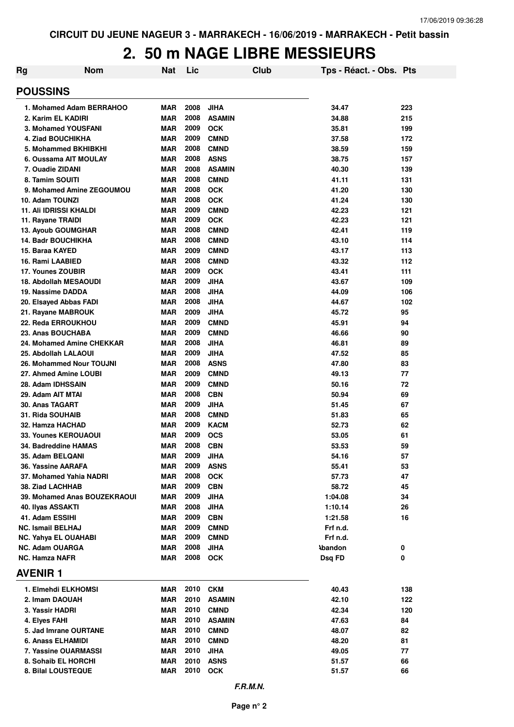## **2. 50 m NAGE LIBRE MESSIEURS**

| Rg | <b>Nom</b>                                       | Nat                      | Lic          | Club                      | Tps - Réact. - Obs. Pts |            |
|----|--------------------------------------------------|--------------------------|--------------|---------------------------|-------------------------|------------|
|    | <b>POUSSINS</b>                                  |                          |              |                           |                         |            |
|    | 1. Mohamed Adam BERRAHOO                         | <b>MAR</b>               | 2008         | <b>JIHA</b>               | 34.47                   | 223        |
|    | 2. Karim EL KADIRI                               | <b>MAR</b>               | 2008         | <b>ASAMIN</b>             | 34.88                   | 215        |
|    | 3. Mohamed YOUSFANI                              | <b>MAR</b>               | 2009         | <b>OCK</b>                | 35.81                   | 199        |
|    | 4. Ziad BOUCHIKHA                                | <b>MAR</b>               | 2009         | <b>CMND</b>               | 37.58                   | 172        |
|    | 5. Mohammed BKHIBKHI                             | <b>MAR</b>               | 2008         | <b>CMND</b>               | 38.59                   | 159        |
|    | 6. Oussama AIT MOULAY                            | <b>MAR</b>               | 2008         | <b>ASNS</b>               | 38.75                   | 157        |
|    | 7. Ouadie ZIDANI                                 | <b>MAR</b>               | 2008         | <b>ASAMIN</b>             | 40.30                   | 139        |
|    | 8. Tamim SOUITI                                  | <b>MAR</b>               | 2008         | <b>CMND</b>               | 41.11                   | 131        |
|    | 9. Mohamed Amine ZEGOUMOU                        | <b>MAR</b>               | 2008         | <b>OCK</b>                | 41.20                   | 130        |
|    | 10. Adam TOUNZI<br><b>11. Ali IDRISSI KHALDI</b> | <b>MAR</b><br><b>MAR</b> | 2008<br>2009 | <b>OCK</b><br><b>CMND</b> | 41.24<br>42.23          | 130        |
|    | 11. Rayane TRAIDI                                | <b>MAR</b>               | 2009         | <b>OCK</b>                | 42.23                   | 121<br>121 |
|    | 13. Ayoub GOUMGHAR                               | <b>MAR</b>               | 2008         | <b>CMND</b>               | 42.41                   | 119        |
|    | 14. Badr BOUCHIKHA                               | <b>MAR</b>               | 2008         | <b>CMND</b>               | 43.10                   | 114        |
|    | 15. Baraa KAYED                                  | <b>MAR</b>               | 2009         | <b>CMND</b>               | 43.17                   | 113        |
|    | 16. Rami LAABIED                                 | <b>MAR</b>               | 2008         | <b>CMND</b>               | 43.32                   | 112        |
|    | 17. Younes ZOUBIR                                | <b>MAR</b>               | 2009         | <b>OCK</b>                | 43.41                   | 111        |
|    | 18. Abdollah MESAOUDI                            | <b>MAR</b>               | 2009         | JIHA                      | 43.67                   | 109        |
|    | 19. Nassime DADDA                                | <b>MAR</b>               | 2008         | <b>JIHA</b>               | 44.09                   | 106        |
|    | 20. Elsayed Abbas FADI                           | <b>MAR</b>               | 2008         | <b>JIHA</b>               | 44.67                   | 102        |
|    | 21. Rayane MABROUK                               | <b>MAR</b>               | 2009         | <b>JIHA</b>               | 45.72                   | 95         |
|    | 22. Reda ERROUKHOU                               | <b>MAR</b>               | 2009         | <b>CMND</b>               | 45.91                   | 94         |
|    | 23. Anas BOUCHABA                                | <b>MAR</b>               | 2009         | <b>CMND</b>               | 46.66                   | 90         |
|    | 24. Mohamed Amine CHEKKAR                        | <b>MAR</b>               | 2008         | <b>JIHA</b>               | 46.81                   | 89         |
|    | 25. Abdollah LALAOUI                             | <b>MAR</b>               | 2009         | <b>JIHA</b>               | 47.52                   | 85         |
|    | 26. Mohammed Nour TOUJNI                         | <b>MAR</b>               | 2008         | <b>ASNS</b>               | 47.80                   | 83         |
|    | 27. Ahmed Amine LOUBI                            | <b>MAR</b>               | 2009         | <b>CMND</b>               | 49.13                   | 77         |
|    | 28. Adam IDHSSAIN                                | <b>MAR</b>               | 2009         | <b>CMND</b>               | 50.16                   | 72         |
|    | 29. Adam AIT MTAI                                | <b>MAR</b>               | 2008         | <b>CBN</b>                | 50.94                   | 69         |
|    | 30. Anas TAGART                                  | <b>MAR</b>               | 2009         | <b>JIHA</b>               | 51.45                   | 67         |
|    | 31. Rida SOUHAIB                                 | <b>MAR</b>               | 2008         | <b>CMND</b>               | 51.83                   | 65         |
|    | 32. Hamza HACHAD                                 | <b>MAR</b>               | 2009         | <b>KACM</b>               | 52.73                   | 62         |
|    | <b>33. Younes KEROUAOUI</b>                      | <b>MAR</b>               | 2009<br>2008 | <b>OCS</b>                | 53.05                   | 61         |
|    | 34. Badreddine HAMAS<br><b>35. Adam BELQANI</b>  | <b>MAR</b><br><b>MAR</b> | 2009         | <b>CBN</b><br><b>JIHA</b> | 53.53<br>54.16          | 59<br>57   |
|    | 36. Yassine AARAFA                               | MAR                      | 2009         | <b>ASNS</b>               | 55.41                   | 53         |
|    | 37. Mohamed Yahia NADRI                          | <b>MAR</b>               | 2008         | <b>OCK</b>                | 57.73                   | 47         |
|    | 38. Ziad LACHHAB                                 | <b>MAR</b>               | 2009         | <b>CBN</b>                | 58.72                   | 45         |
|    | 39. Mohamed Anas BOUZEKRAOUI                     | MAR                      | 2009         | <b>JIHA</b>               | 1:04.08                 | 34         |
|    | 40. Ilyas ASSAKTI                                | MAR                      | 2008         | <b>JIHA</b>               | 1:10.14                 | 26         |
|    | 41. Adam ESSIHI                                  | MAR                      | 2009         | <b>CBN</b>                | 1:21.58                 | 16         |
|    | <b>NC. Ismail BELHAJ</b>                         | MAR                      | 2009         | <b>CMND</b>               | Frf n.d.                |            |
|    | <b>NC. Yahya EL OUAHABI</b>                      | MAR                      | 2009         | <b>CMND</b>               | Frf n.d.                |            |
|    | <b>NC. Adam OUARGA</b>                           | <b>MAR</b>               | 2008         | <b>JIHA</b>               | <b>\bandon</b>          | 0          |
|    | <b>NC. Hamza NAFR</b>                            | MAR                      |              | 2008 OCK                  | Dsq FD                  | 0          |
|    | <b>AVENIR1</b>                                   |                          |              |                           |                         |            |
|    | 1. Elmehdi ELKHOMSI                              | MAR                      | 2010         | <b>CKM</b>                | 40.43                   | 138        |
|    | 2. Imam DAOUAH                                   | MAR                      | 2010         | <b>ASAMIN</b>             | 42.10                   | 122        |
|    | 3. Yassir HADRI                                  | MAR                      | 2010         | <b>CMND</b>               | 42.34                   | 120        |
|    | 4. Elyes FAHI                                    | MAR                      | 2010         | <b>ASAMIN</b>             | 47.63                   | 84         |
|    | 5. Jad Imrane OURTANE                            | MAR                      | 2010         | <b>CMND</b>               | 48.07                   | 82         |
|    | 6. Anass ELHAMIDI                                | MAR                      | 2010         | <b>CMND</b>               | 48.20                   | 81         |
|    | 7. Yassine OUARMASSI                             | <b>MAR</b>               | 2010         | <b>JIHA</b>               | 49.05                   | 77         |
|    | 8. Sohaib EL HORCHI                              | <b>MAR</b>               | 2010         | <b>ASNS</b>               | 51.57                   | 66         |
|    | 8. Bilal LOUSTEQUE                               | <b>MAR</b>               | 2010         | <b>OCK</b>                | 51.57                   | 66         |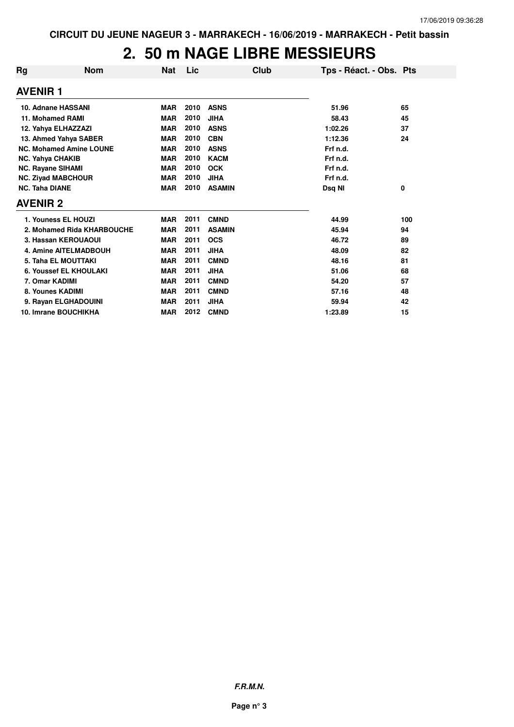## **2. 50 m NAGE LIBRE MESSIEURS**

| <b>Rg</b>             | <b>Nom</b>                     | <b>Nat</b> | Lic  | Club          | Tps - Réact. - Obs. Pts |     |
|-----------------------|--------------------------------|------------|------|---------------|-------------------------|-----|
| <b>AVENIR 1</b>       |                                |            |      |               |                         |     |
|                       | 10. Adnane HASSANI             | <b>MAR</b> | 2010 | <b>ASNS</b>   | 51.96                   | 65  |
|                       | 11. Mohamed RAMI               | <b>MAR</b> | 2010 | <b>JIHA</b>   | 58.43                   | 45  |
|                       | 12. Yahya ELHAZZAZI            | <b>MAR</b> | 2010 | <b>ASNS</b>   | 1:02.26                 | 37  |
|                       | 13. Ahmed Yahya SABER          | <b>MAR</b> | 2010 | <b>CBN</b>    | 1:12.36                 | 24  |
|                       | <b>NC. Mohamed Amine LOUNE</b> | <b>MAR</b> | 2010 | <b>ASNS</b>   | Frf n.d.                |     |
|                       | <b>NC. Yahya CHAKIB</b>        | <b>MAR</b> | 2010 | <b>KACM</b>   | Frf n.d.                |     |
|                       | <b>NC. Rayane SIHAMI</b>       | <b>MAR</b> | 2010 | <b>OCK</b>    | Frf n.d.                |     |
|                       | <b>NC. Ziyad MABCHOUR</b>      | <b>MAR</b> | 2010 | <b>JIHA</b>   | Frf n.d.                |     |
| <b>NC. Taha DIANE</b> |                                | <b>MAR</b> | 2010 | <b>ASAMIN</b> | Dsq NI                  | 0   |
| <b>AVENIR 2</b>       |                                |            |      |               |                         |     |
|                       | 1. Youness EL HOUZI            | <b>MAR</b> | 2011 | <b>CMND</b>   | 44.99                   | 100 |
|                       | 2. Mohamed Rida KHARBOUCHE     | <b>MAR</b> | 2011 | <b>ASAMIN</b> | 45.94                   | 94  |
|                       | 3. Hassan KEROUAOUI            | <b>MAR</b> | 2011 | <b>OCS</b>    | 46.72                   | 89  |
|                       | <b>4. Amine AITELMADBOUH</b>   | <b>MAR</b> | 2011 | <b>JIHA</b>   | 48.09                   | 82  |
|                       | 5. Taha EL MOUTTAKI            | <b>MAR</b> | 2011 | <b>CMND</b>   | 48.16                   | 81  |
|                       | 6. Youssef EL KHOULAKI         | <b>MAR</b> | 2011 | <b>JIHA</b>   | 51.06                   | 68  |
|                       | 7. Omar KADIMI                 | <b>MAR</b> | 2011 | <b>CMND</b>   | 54.20                   | 57  |
|                       | 8. Younes KADIMI               | <b>MAR</b> | 2011 | <b>CMND</b>   | 57.16                   | 48  |
|                       | 9. Rayan ELGHADOUINI           | <b>MAR</b> | 2011 | <b>JIHA</b>   | 59.94                   | 42  |
|                       | 10. Imrane BOUCHIKHA           | <b>MAR</b> | 2012 | <b>CMND</b>   | 1:23.89                 | 15  |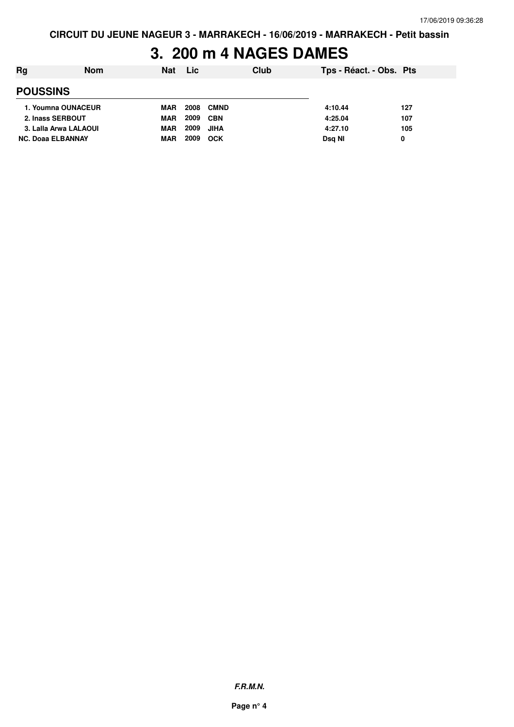## **3. 200 m 4 NAGES DAMES**

| Rg                       | <b>Nom</b> | <b>Nat</b> | <b>Lic</b> |             | Club | Tps - Réact. - Obs. Pts |     |
|--------------------------|------------|------------|------------|-------------|------|-------------------------|-----|
| <b>POUSSINS</b>          |            |            |            |             |      |                         |     |
| 1. Youmna OUNACEUR       |            | MAR        | 2008       | <b>CMND</b> |      | 4:10.44                 | 127 |
| 2. Inass SERBOUT         |            | <b>MAR</b> | 2009       | <b>CBN</b>  |      | 4:25.04                 | 107 |
| 3. Lalla Arwa LALAOUI    |            | <b>MAR</b> | 2009       | JIHA        |      | 4:27.10                 | 105 |
| <b>NC. Doaa ELBANNAY</b> |            | <b>MAR</b> | 2009       | OCK         |      | Dsg NI                  | 0   |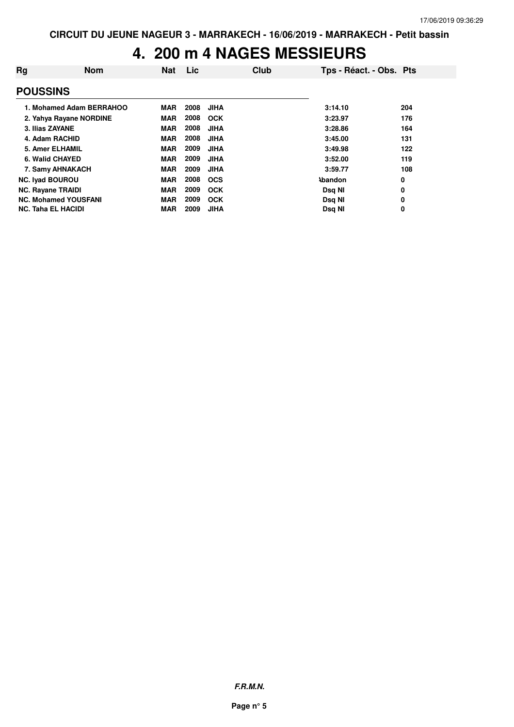## **4. 200 m 4 NAGES MESSIEURS**

| Rg                        | <b>Nom</b>                  | <b>Nat</b> | <b>Lic</b> | Club        | Tps - Réact. - Obs. Pts |     |
|---------------------------|-----------------------------|------------|------------|-------------|-------------------------|-----|
| <b>POUSSINS</b>           |                             |            |            |             |                         |     |
|                           | 1. Mohamed Adam BERRAHOO    | <b>MAR</b> | 2008       | <b>JIHA</b> | 3:14.10                 | 204 |
|                           | 2. Yahya Rayane NORDINE     | <b>MAR</b> | 2008       | <b>OCK</b>  | 3:23.97                 | 176 |
| 3. Ilias ZAYANE           |                             | <b>MAR</b> | 2008       | <b>JIHA</b> | 3:28.86                 | 164 |
| 4. Adam RACHID            |                             | <b>MAR</b> | 2008       | <b>JIHA</b> | 3:45.00                 | 131 |
| 5. Amer ELHAMIL           |                             | <b>MAR</b> | 2009       | JIHA        | 3:49.98                 | 122 |
| 6. Walid CHAYED           |                             | <b>MAR</b> | 2009       | <b>JIHA</b> | 3:52.00                 | 119 |
|                           | 7. Samy AHNAKACH            | <b>MAR</b> | 2009       | JIHA        | 3:59.77                 | 108 |
| <b>NC. Iyad BOUROU</b>    |                             | <b>MAR</b> | 2008       | <b>OCS</b>  | <b>\bandon</b>          | 0   |
| <b>NC. Rayane TRAIDI</b>  |                             | <b>MAR</b> | 2009       | <b>OCK</b>  | Dsg NI                  | 0   |
|                           | <b>NC. Mohamed YOUSFANI</b> | <b>MAR</b> | 2009       | <b>OCK</b>  | Dsg NI                  | 0   |
| <b>NC. Taha EL HACIDI</b> |                             | <b>MAR</b> | 2009       | <b>JIHA</b> | Dsg NI                  | 0   |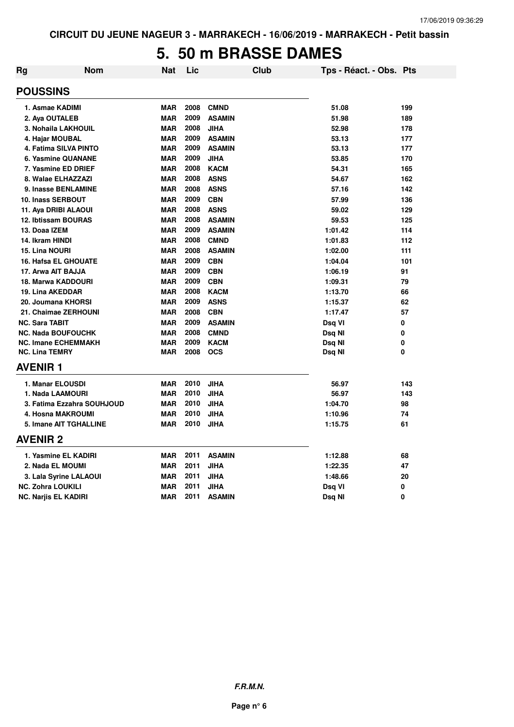### **5. 50 m BRASSE DAMES**

| Rg | Nom                          | <b>Nat</b> | Lic  | <b>Club</b>   | Tps - Réact. - Obs. Pts |     |
|----|------------------------------|------------|------|---------------|-------------------------|-----|
|    | <b>POUSSINS</b>              |            |      |               |                         |     |
|    | 1. Asmae KADIMI              | <b>MAR</b> | 2008 | <b>CMND</b>   | 51.08                   | 199 |
|    | 2. Aya OUTALEB               | <b>MAR</b> | 2009 | <b>ASAMIN</b> | 51.98                   | 189 |
|    | 3. Nohaila LAKHOUIL          | <b>MAR</b> | 2008 | <b>JIHA</b>   | 52.98                   | 178 |
|    | 4. Hajar MOUBAL              | <b>MAR</b> | 2009 | <b>ASAMIN</b> | 53.13                   | 177 |
|    | <b>4. Fatima SILVA PINTO</b> | <b>MAR</b> | 2009 | <b>ASAMIN</b> | 53.13                   | 177 |
|    | 6. Yasmine QUANANE           | <b>MAR</b> | 2009 | <b>JIHA</b>   | 53.85                   | 170 |
|    | 7. Yasmine ED DRIEF          | <b>MAR</b> | 2008 | <b>KACM</b>   | 54.31                   | 165 |
|    | 8. Walae ELHAZZAZI           | <b>MAR</b> | 2008 | <b>ASNS</b>   | 54.67                   | 162 |
|    | 9. Inasse BENLAMINE          | <b>MAR</b> | 2008 | <b>ASNS</b>   | 57.16                   | 142 |
|    | <b>10. Inass SERBOUT</b>     | <b>MAR</b> | 2009 | <b>CBN</b>    | 57.99                   | 136 |
|    | 11. Aya DRIBI ALAOUI         | <b>MAR</b> | 2008 | <b>ASNS</b>   | 59.02                   | 129 |
|    | 12. Ibtissam BOURAS          | <b>MAR</b> | 2008 | <b>ASAMIN</b> | 59.53                   | 125 |
|    | 13. Doaa IZEM                | <b>MAR</b> | 2009 | <b>ASAMIN</b> | 1:01.42                 | 114 |
|    | 14. Ikram HINDI              | <b>MAR</b> | 2008 | <b>CMND</b>   | 1:01.83                 | 112 |
|    | 15. Lina NOURI               | <b>MAR</b> | 2008 | <b>ASAMIN</b> | 1:02.00                 | 111 |
|    | <b>16. Hafsa EL GHOUATE</b>  | <b>MAR</b> | 2009 | <b>CBN</b>    | 1:04.04                 | 101 |
|    | 17. Arwa AIT BAJJA           | <b>MAR</b> | 2009 | <b>CBN</b>    | 1:06.19                 | 91  |
|    | <b>18. Marwa KADDOURI</b>    | <b>MAR</b> | 2009 | <b>CBN</b>    | 1:09.31                 | 79  |
|    | 19. Lina AKEDDAR             | <b>MAR</b> | 2008 | <b>KACM</b>   | 1:13.70                 | 66  |
|    | 20. Joumana KHORSI           | <b>MAR</b> | 2009 | <b>ASNS</b>   | 1:15.37                 | 62  |
|    | 21. Chaimae ZERHOUNI         | <b>MAR</b> | 2008 | <b>CBN</b>    | 1:17.47                 | 57  |
|    | <b>NC. Sara TABIT</b>        | <b>MAR</b> | 2009 | <b>ASAMIN</b> | Dsq VI                  | 0   |
|    | <b>NC. Nada BOUFOUCHK</b>    | <b>MAR</b> | 2008 | <b>CMND</b>   | Dsq NI                  | 0   |
|    | <b>NC. Imane ECHEMMAKH</b>   | <b>MAR</b> | 2009 | <b>KACM</b>   | Dsq NI                  | 0   |
|    | <b>NC. Lina TEMRY</b>        | <b>MAR</b> | 2008 | <b>OCS</b>    | Dsq NI                  | 0   |
|    | <b>AVENIR 1</b>              |            |      |               |                         |     |
|    | 1. Manar ELOUSDI             | <b>MAR</b> | 2010 | <b>JIHA</b>   | 56.97                   | 143 |
|    | 1. Nada LAAMOURI             | <b>MAR</b> | 2010 | <b>JIHA</b>   | 56.97                   | 143 |
|    | 3. Fatima Ezzahra SOUHJOUD   | <b>MAR</b> | 2010 | <b>JIHA</b>   | 1:04.70                 | 98  |
|    | 4. Hosna MAKROUMI            | <b>MAR</b> | 2010 | <b>JIHA</b>   | 1:10.96                 | 74  |
|    | 5. Imane AIT TGHALLINE       | <b>MAR</b> | 2010 | <b>JIHA</b>   | 1:15.75                 | 61  |
|    | <b>AVENIR 2</b>              |            |      |               |                         |     |
|    | 1. Yasmine EL KADIRI         | <b>MAR</b> | 2011 | <b>ASAMIN</b> | 1:12.88                 | 68  |
|    | 2. Nada EL MOUMI             | <b>MAR</b> | 2011 | <b>JIHA</b>   | 1:22.35                 | 47  |
|    | 3. Lala Syrine LALAOUI       | <b>MAR</b> | 2011 | <b>JIHA</b>   | 1:48.66                 | 20  |
|    | <b>NC. Zohra LOUKILI</b>     | <b>MAR</b> | 2011 | <b>JIHA</b>   | Dsq VI                  | 0   |
|    | <b>NC. Narjis EL KADIRI</b>  | <b>MAR</b> | 2011 | <b>ASAMIN</b> | Dsq NI                  | 0   |
|    |                              |            |      |               |                         |     |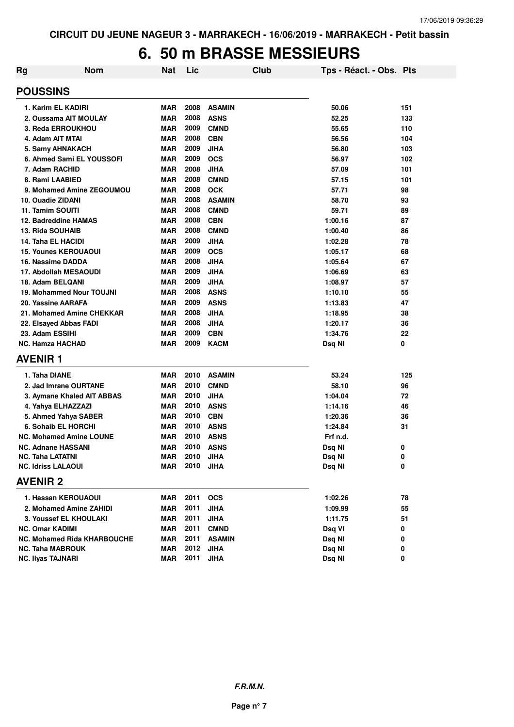## **6. 50 m BRASSE MESSIEURS**

| Rg | <b>Nom</b>                      | <b>Nat</b> | Lic  |               | Club | Tps - Réact. - Obs. Pts |     |
|----|---------------------------------|------------|------|---------------|------|-------------------------|-----|
|    | <b>POUSSINS</b>                 |            |      |               |      |                         |     |
|    | 1. Karim EL KADIRI              | <b>MAR</b> | 2008 | <b>ASAMIN</b> |      | 50.06                   | 151 |
|    | 2. Oussama AIT MOULAY           | <b>MAR</b> | 2008 | <b>ASNS</b>   |      | 52.25                   | 133 |
|    | 3. Reda ERROUKHOU               | <b>MAR</b> | 2009 | <b>CMND</b>   |      | 55.65                   | 110 |
|    | 4. Adam AIT MTAI                | <b>MAR</b> | 2008 | <b>CBN</b>    |      | 56.56                   | 104 |
|    | 5. Samy AHNAKACH                | <b>MAR</b> | 2009 | <b>JIHA</b>   |      | 56.80                   | 103 |
|    | 6. Ahmed Sami EL YOUSSOFI       | <b>MAR</b> | 2009 | <b>OCS</b>    |      | 56.97                   | 102 |
|    | 7. Adam RACHID                  | <b>MAR</b> | 2008 | <b>JIHA</b>   |      | 57.09                   | 101 |
|    | 8. Rami LAABIED                 | <b>MAR</b> | 2008 | <b>CMND</b>   |      | 57.15                   | 101 |
|    | 9. Mohamed Amine ZEGOUMOU       | <b>MAR</b> | 2008 | <b>OCK</b>    |      | 57.71                   | 98  |
|    | 10. Ouadie ZIDANI               | <b>MAR</b> | 2008 | <b>ASAMIN</b> |      | 58.70                   | 93  |
|    | 11. Tamim SOUITI                | <b>MAR</b> | 2008 | <b>CMND</b>   |      | 59.71                   | 89  |
|    | 12. Badreddine HAMAS            | <b>MAR</b> | 2008 | <b>CBN</b>    |      | 1:00.16                 | 87  |
|    | 13. Rida SOUHAIB                | MAR        | 2008 | <b>CMND</b>   |      | 1:00.40                 | 86  |
|    | 14. Taha EL HACIDI              | MAR        | 2009 | <b>JIHA</b>   |      | 1:02.28                 | 78  |
|    | <b>15. Younes KEROUAOUI</b>     | MAR        | 2009 | <b>OCS</b>    |      | 1:05.17                 | 68  |
|    | 16. Nassime DADDA               | MAR        | 2008 | <b>JIHA</b>   |      | 1:05.64                 | 67  |
|    | 17. Abdollah MESAOUDI           | <b>MAR</b> | 2009 | <b>JIHA</b>   |      | 1:06.69                 | 63  |
|    | 18. Adam BELQANI                | <b>MAR</b> | 2009 | <b>JIHA</b>   |      | 1:08.97                 | 57  |
|    | <b>19. Mohammed Nour TOUJNI</b> | <b>MAR</b> | 2008 | <b>ASNS</b>   |      | 1:10.10                 | 55  |
|    | 20. Yassine AARAFA              | <b>MAR</b> | 2009 | <b>ASNS</b>   |      | 1:13.83                 | 47  |
|    | 21. Mohamed Amine CHEKKAR       | <b>MAR</b> | 2008 | <b>JIHA</b>   |      | 1:18.95                 | 38  |
|    | 22. Elsayed Abbas FADI          | <b>MAR</b> | 2008 | <b>JIHA</b>   |      | 1:20.17                 | 36  |
|    | 23. Adam ESSIHI                 | <b>MAR</b> | 2009 | <b>CBN</b>    |      | 1:34.76                 | 22  |
|    | <b>NC. Hamza HACHAD</b>         | <b>MAR</b> | 2009 | <b>KACM</b>   |      | Dsq NI                  | 0   |
|    | <b>AVENIR1</b>                  |            |      |               |      |                         |     |
|    | 1. Taha DIANE                   | <b>MAR</b> | 2010 | <b>ASAMIN</b> |      | 53.24                   | 125 |
|    | 2. Jad Imrane OURTANE           | <b>MAR</b> | 2010 | <b>CMND</b>   |      | 58.10                   | 96  |
|    | 3. Aymane Khaled AIT ABBAS      | MAR        | 2010 | <b>JIHA</b>   |      | 1:04.04                 | 72  |
|    | 4. Yahya ELHAZZAZI              | <b>MAR</b> | 2010 | <b>ASNS</b>   |      | 1:14.16                 | 46  |
|    | 5. Ahmed Yahya SABER            | <b>MAR</b> | 2010 | <b>CBN</b>    |      | 1:20.36                 | 36  |
|    | 6. Sohaib EL HORCHI             | MAR        | 2010 | <b>ASNS</b>   |      | 1:24.84                 | 31  |
|    | <b>NC. Mohamed Amine LOUNE</b>  | <b>MAR</b> | 2010 | <b>ASNS</b>   |      | Frf n.d.                |     |
|    | <b>NC. Adnane HASSANI</b>       | <b>MAR</b> | 2010 | <b>ASNS</b>   |      | Dsq NI                  | 0   |
|    | <b>NC. Taha LATATNI</b>         | MAR        | 2010 | <b>JIHA</b>   |      | Dsq NI                  | 0   |
|    | <b>NC. Idriss LALAOUI</b>       | MAR        | 2010 | <b>JIHA</b>   |      | Dsq NI                  | 0   |
|    | <b>AVENIR 2</b>                 |            |      |               |      |                         |     |
|    | 1. Hassan KEROUAOUI             | MAR        | 2011 | <b>OCS</b>    |      | 1:02.26                 | 78  |
|    | 2. Mohamed Amine ZAHIDI         | <b>MAR</b> | 2011 | <b>JIHA</b>   |      | 1:09.99                 | 55  |
|    | 3. Youssef EL KHOULAKI          | <b>MAR</b> | 2011 | <b>JIHA</b>   |      | 1:11.75                 | 51  |
|    | NC. Omar KADIMI                 | <b>MAR</b> | 2011 | <b>CMND</b>   |      | Dsq VI                  | 0   |
|    | NC. Mohamed Rida KHARBOUCHE     | <b>MAR</b> | 2011 | <b>ASAMIN</b> |      | Dsq NI                  | 0   |
|    | NC. Taha MABROUK                | <b>MAR</b> | 2012 | JIHA          |      | Dsq NI                  | 0   |
|    | <b>NC. Ilyas TAJNARI</b>        | MAR        | 2011 | <b>JIHA</b>   |      | Dsq NI                  | 0   |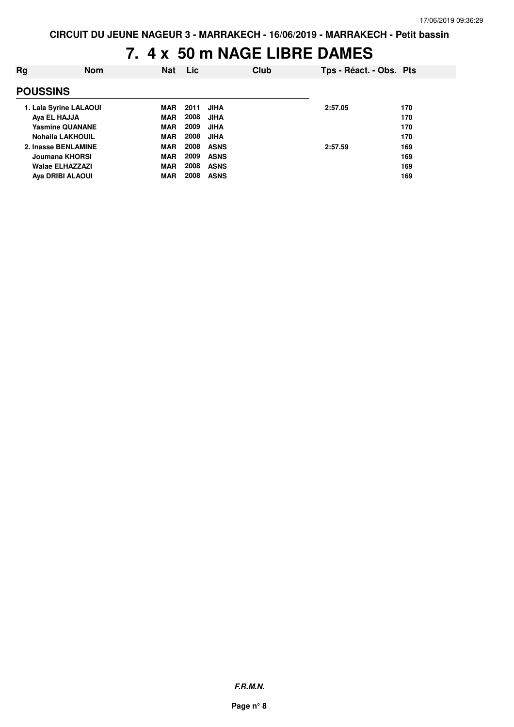# **7. 4 x 50 m NAGE LIBRE DAMES**

| Rg              | <b>Nom</b>              | <b>Nat</b> | <b>Lic</b> | Club        | Tps - Réact. - Obs. Pts |     |
|-----------------|-------------------------|------------|------------|-------------|-------------------------|-----|
| <b>POUSSINS</b> |                         |            |            |             |                         |     |
|                 | 1. Lala Syrine LALAOUI  | MAR        | 2011       | <b>JIHA</b> | 2:57.05                 | 170 |
|                 | Ava EL HAJJA            | <b>MAR</b> | 2008       | <b>JIHA</b> |                         | 170 |
|                 | <b>Yasmine QUANANE</b>  | <b>MAR</b> | 2009       | <b>JIHA</b> |                         | 170 |
|                 | <b>Nohaila LAKHOUIL</b> | <b>MAR</b> | 2008       | <b>JIHA</b> |                         | 170 |
|                 | 2. Inasse BENLAMINE     | <b>MAR</b> | 2008       | <b>ASNS</b> | 2:57.59                 | 169 |
|                 | Joumana KHORSI          | <b>MAR</b> | 2009       | <b>ASNS</b> |                         | 169 |
|                 | <b>Walae ELHAZZAZI</b>  | <b>MAR</b> | 2008       | <b>ASNS</b> |                         | 169 |
|                 | Aya DRIBI ALAOUI        | <b>MAR</b> | 2008       | <b>ASNS</b> |                         | 169 |
|                 |                         |            |            |             |                         |     |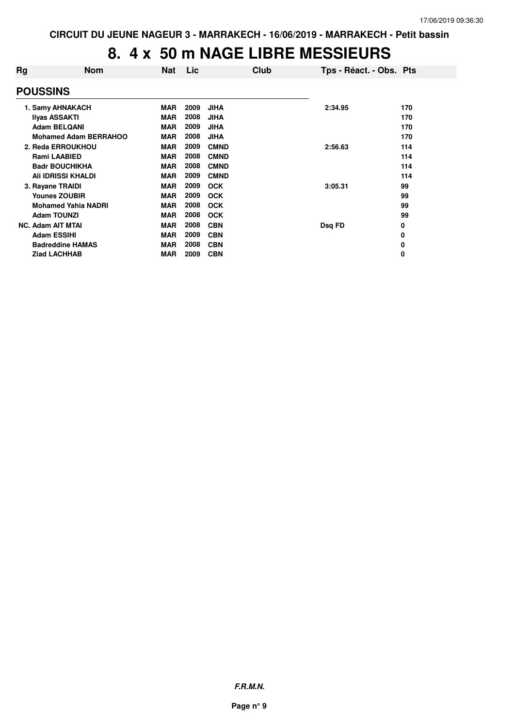# **8. 4 x 50 m NAGE LIBRE MESSIEURS**

| Rg              | <b>Nom</b>                   | <b>Nat</b> | Lic  |             | Club | Tps - Réact. - Obs. Pts |     |
|-----------------|------------------------------|------------|------|-------------|------|-------------------------|-----|
| <b>POUSSINS</b> |                              |            |      |             |      |                         |     |
|                 | 1. Samy AHNAKACH             | <b>MAR</b> | 2009 | <b>JIHA</b> |      | 2:34.95                 | 170 |
|                 | <b>Ilyas ASSAKTI</b>         | <b>MAR</b> | 2008 | <b>JIHA</b> |      |                         | 170 |
|                 | <b>Adam BELQANI</b>          | <b>MAR</b> | 2009 | <b>JIHA</b> |      |                         | 170 |
|                 | <b>Mohamed Adam BERRAHOO</b> | <b>MAR</b> | 2008 | <b>JIHA</b> |      |                         | 170 |
|                 | 2. Reda ERROUKHOU            | <b>MAR</b> | 2009 | <b>CMND</b> |      | 2:56.63                 | 114 |
|                 | <b>Rami LAABIED</b>          | <b>MAR</b> | 2008 | <b>CMND</b> |      |                         | 114 |
|                 | <b>Badr BOUCHIKHA</b>        | <b>MAR</b> | 2008 | <b>CMND</b> |      |                         | 114 |
|                 | Ali IDRISSI KHALDI           | <b>MAR</b> | 2009 | <b>CMND</b> |      |                         | 114 |
|                 | 3. Rayane TRAIDI             | <b>MAR</b> | 2009 | <b>OCK</b>  |      | 3:05.31                 | 99  |
|                 | <b>Younes ZOUBIR</b>         | <b>MAR</b> | 2009 | <b>OCK</b>  |      |                         | 99  |
|                 | <b>Mohamed Yahia NADRI</b>   | <b>MAR</b> | 2008 | <b>OCK</b>  |      |                         | 99  |
|                 | <b>Adam TOUNZI</b>           | <b>MAR</b> | 2008 | <b>OCK</b>  |      |                         | 99  |
|                 | <b>NC. Adam AIT MTAI</b>     | <b>MAR</b> | 2008 | <b>CBN</b>  |      | Dsq FD                  | 0   |
|                 | <b>Adam ESSIHI</b>           | <b>MAR</b> | 2009 | <b>CBN</b>  |      |                         | 0   |
|                 | <b>Badreddine HAMAS</b>      | <b>MAR</b> | 2008 | <b>CBN</b>  |      |                         | 0   |
|                 | <b>Ziad LACHHAB</b>          | <b>MAR</b> | 2009 | <b>CBN</b>  |      |                         | 0   |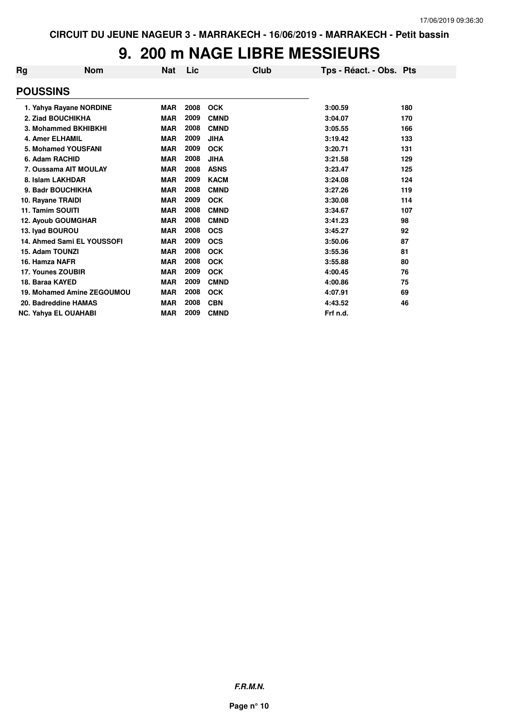# **9. 200 m NAGE LIBRE MESSIEURS**

| Rg              | <b>Nom</b>                  | Nat        | Lic  | Club        | Tps - Réact. - Obs. Pts |     |
|-----------------|-----------------------------|------------|------|-------------|-------------------------|-----|
| <b>POUSSINS</b> |                             |            |      |             |                         |     |
|                 | 1. Yahya Rayane NORDINE     | <b>MAR</b> | 2008 | <b>OCK</b>  | 3:00.59                 | 180 |
|                 | 2. Ziad BOUCHIKHA           | <b>MAR</b> | 2009 | <b>CMND</b> | 3:04.07                 | 170 |
|                 | 3. Mohammed BKHIBKHI        | <b>MAR</b> | 2008 | <b>CMND</b> | 3:05.55                 | 166 |
|                 | <b>4. Amer ELHAMIL</b>      | <b>MAR</b> | 2009 | <b>JIHA</b> | 3:19.42                 | 133 |
|                 | 5. Mohamed YOUSFANI         | <b>MAR</b> | 2009 | <b>OCK</b>  | 3:20.71                 | 131 |
|                 | 6. Adam RACHID              | <b>MAR</b> | 2008 | <b>JIHA</b> | 3:21.58                 | 129 |
|                 | 7. Oussama AIT MOULAY       | <b>MAR</b> | 2008 | <b>ASNS</b> | 3:23.47                 | 125 |
|                 | 8. Islam LAKHDAR            | <b>MAR</b> | 2009 | <b>KACM</b> | 3:24.08                 | 124 |
|                 | 9. Badr BOUCHIKHA           | <b>MAR</b> | 2008 | <b>CMND</b> | 3:27.26                 | 119 |
|                 | 10. Rayane TRAIDI           | <b>MAR</b> | 2009 | <b>OCK</b>  | 3:30.08                 | 114 |
|                 | 11. Tamim SOUITI            | <b>MAR</b> | 2008 | <b>CMND</b> | 3:34.67                 | 107 |
|                 | <b>12. Ayoub GOUMGHAR</b>   | <b>MAR</b> | 2008 | <b>CMND</b> | 3:41.23                 | 98  |
|                 | 13. Ivad BOUROU             | <b>MAR</b> | 2008 | <b>OCS</b>  | 3:45.27                 | 92  |
|                 | 14. Ahmed Sami EL YOUSSOFI  | <b>MAR</b> | 2009 | <b>OCS</b>  | 3:50.06                 | 87  |
|                 | 15. Adam TOUNZI             | <b>MAR</b> | 2008 | <b>OCK</b>  | 3:55.36                 | 81  |
|                 | 16. Hamza NAFR              | <b>MAR</b> | 2008 | <b>OCK</b>  | 3:55.88                 | 80  |
|                 | 17. Younes ZOUBIR           | <b>MAR</b> | 2009 | <b>OCK</b>  | 4:00.45                 | 76  |
|                 | 18. Baraa KAYED             | <b>MAR</b> | 2009 | <b>CMND</b> | 4:00.86                 | 75  |
|                 | 19. Mohamed Amine ZEGOUMOU  | <b>MAR</b> | 2008 | <b>OCK</b>  | 4:07.91                 | 69  |
|                 | 20. Badreddine HAMAS        | <b>MAR</b> | 2008 | <b>CBN</b>  | 4:43.52                 | 46  |
|                 | <b>NC. Yahya EL OUAHABI</b> | <b>MAR</b> | 2009 | <b>CMND</b> | Frf n.d.                |     |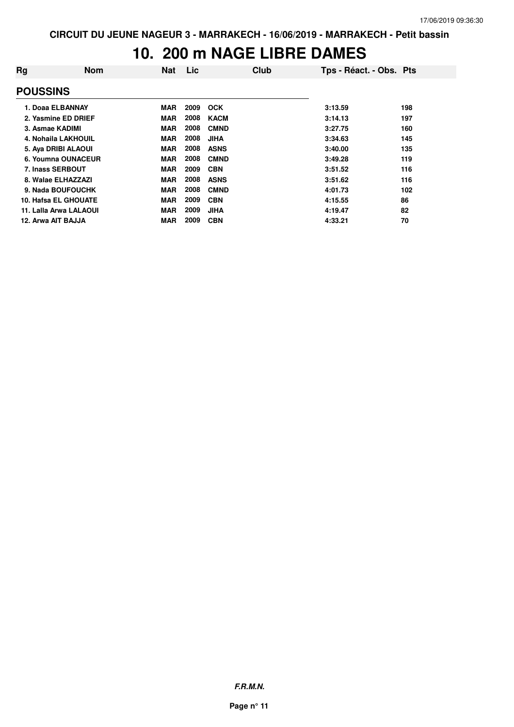### **10. 200 m NAGE LIBRE DAMES**

| Rg                 | <b>Nom</b>             | <b>Nat</b> | Lic  | Club        | Tps - Réact. - Obs. Pts |     |
|--------------------|------------------------|------------|------|-------------|-------------------------|-----|
| <b>POUSSINS</b>    |                        |            |      |             |                         |     |
|                    | 1. Doaa ELBANNAY       | <b>MAR</b> | 2009 | <b>OCK</b>  | 3:13.59                 | 198 |
|                    | 2. Yasmine ED DRIEF    | <b>MAR</b> | 2008 | <b>KACM</b> | 3:14.13                 | 197 |
| 3. Asmae KADIMI    |                        | <b>MAR</b> | 2008 | <b>CMND</b> | 3:27.75                 | 160 |
|                    | 4. Nohaila LAKHOUIL    | <b>MAR</b> | 2008 | <b>JIHA</b> | 3:34.63                 | 145 |
|                    | 5. Aya DRIBI ALAOUI    | <b>MAR</b> | 2008 | <b>ASNS</b> | 3:40.00                 | 135 |
|                    | 6. Youmna OUNACEUR     | <b>MAR</b> | 2008 | <b>CMND</b> | 3:49.28                 | 119 |
| 7. Inass SERBOUT   |                        | <b>MAR</b> | 2009 | <b>CBN</b>  | 3:51.52                 | 116 |
|                    | 8. Walae ELHAZZAZI     | <b>MAR</b> | 2008 | <b>ASNS</b> | 3:51.62                 | 116 |
|                    | 9. Nada BOUFOUCHK      | <b>MAR</b> | 2008 | <b>CMND</b> | 4:01.73                 | 102 |
|                    | 10. Hafsa EL GHOUATE   | <b>MAR</b> | 2009 | <b>CBN</b>  | 4:15.55                 | 86  |
|                    | 11. Lalla Arwa LALAOUI | <b>MAR</b> | 2009 | <b>JIHA</b> | 4:19.47                 | 82  |
| 12. Arwa AIT BAJJA |                        | <b>MAR</b> | 2009 | <b>CBN</b>  | 4:33.21                 | 70  |

**F.R.M.N.**

**Page n° 11**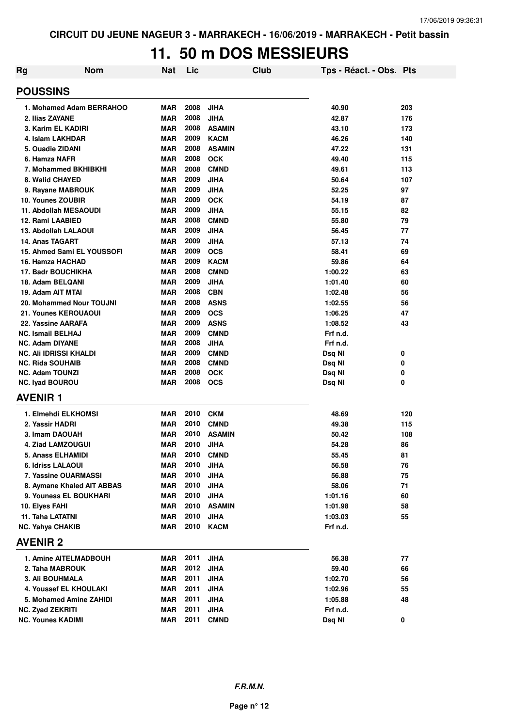# **11. 50 m DOS MESSIEURS**

| Rg | <b>Nom</b>                         | <b>Nat</b> | Lic  | Club          | Tps - Réact. - Obs. Pts |     |
|----|------------------------------------|------------|------|---------------|-------------------------|-----|
|    | <b>POUSSINS</b>                    |            |      |               |                         |     |
|    | 1. Mohamed Adam BERRAHOO           | MAR        | 2008 | <b>JIHA</b>   | 40.90                   | 203 |
|    | 2. Ilias ZAYANE                    | <b>MAR</b> | 2008 | <b>JIHA</b>   | 42.87                   | 176 |
|    | 3. Karim EL KADIRI                 | <b>MAR</b> | 2008 | <b>ASAMIN</b> | 43.10                   | 173 |
|    | 4. Islam LAKHDAR                   | <b>MAR</b> | 2009 | <b>KACM</b>   | 46.26                   | 140 |
|    | 5. Ouadie ZIDANI                   | <b>MAR</b> | 2008 | <b>ASAMIN</b> | 47.22                   | 131 |
|    | 6. Hamza NAFR                      | <b>MAR</b> | 2008 | <b>OCK</b>    | 49.40                   | 115 |
|    | 7. Mohammed BKHIBKHI               | <b>MAR</b> | 2008 | <b>CMND</b>   | 49.61                   | 113 |
|    | 8. Walid CHAYED                    | <b>MAR</b> | 2009 | <b>JIHA</b>   | 50.64                   | 107 |
|    | 9. Rayane MABROUK                  | <b>MAR</b> | 2009 | <b>JIHA</b>   | 52.25                   | 97  |
|    | 10. Younes ZOUBIR                  | MAR        | 2009 | <b>OCK</b>    | 54.19                   | 87  |
|    | 11. Abdollah MESAOUDI              | <b>MAR</b> | 2009 | JIHA          | 55.15                   | 82  |
|    | 12. Rami LAABIED                   | <b>MAR</b> | 2008 | <b>CMND</b>   | 55.80                   | 79  |
|    | 13. Abdollah LALAOUI               | <b>MAR</b> | 2009 | <b>JIHA</b>   | 56.45                   | 77  |
|    | 14. Anas TAGART                    | <b>MAR</b> | 2009 | JIHA          | 57.13                   | 74  |
|    | 15. Ahmed Sami EL YOUSSOFI         | MAR        | 2009 | <b>OCS</b>    | 58.41                   | 69  |
|    | 16. Hamza HACHAD                   | <b>MAR</b> | 2009 | <b>KACM</b>   | 59.86                   | 64  |
|    | <b>17. Badr BOUCHIKHA</b>          | <b>MAR</b> | 2008 | <b>CMND</b>   | 1:00.22                 | 63  |
|    | 18. Adam BELQANI                   | <b>MAR</b> | 2009 | <b>JIHA</b>   | 1:01.40                 | 60  |
|    | 19. Adam AIT MTAI                  | <b>MAR</b> | 2008 | <b>CBN</b>    | 1:02.48                 | 56  |
|    | 20. Mohammed Nour TOUJNI           | <b>MAR</b> | 2008 | <b>ASNS</b>   | 1:02.55                 | 56  |
|    | 21. Younes KEROUAOUI               | <b>MAR</b> | 2009 | <b>OCS</b>    | 1:06.25                 | 47  |
|    | 22. Yassine AARAFA                 | <b>MAR</b> | 2009 | <b>ASNS</b>   | 1:08.52                 | 43  |
|    | <b>NC. Ismail BELHAJ</b>           | <b>MAR</b> | 2009 | <b>CMND</b>   | Frf n.d.                |     |
|    | <b>NC. Adam DIYANE</b>             | <b>MAR</b> | 2008 | <b>JIHA</b>   | Frf n.d.                |     |
|    | NC. Ali IDRISSI KHALDI             | <b>MAR</b> | 2009 | <b>CMND</b>   | Dsq NI                  | 0   |
|    | <b>NC. Rida SOUHAIB</b>            | <b>MAR</b> | 2008 | <b>CMND</b>   | Dsq NI                  | 0   |
|    | <b>NC. Adam TOUNZI</b>             | <b>MAR</b> | 2008 | <b>OCK</b>    | Dsq NI                  | 0   |
|    | <b>NC. Iyad BOUROU</b>             | <b>MAR</b> | 2008 | <b>OCS</b>    | Dsq NI                  | 0   |
|    | <b>AVENIR1</b>                     |            |      |               |                         |     |
|    | 1. Elmehdi ELKHOMSI                | <b>MAR</b> | 2010 | <b>CKM</b>    | 48.69                   | 120 |
|    | 2. Yassir HADRI                    | <b>MAR</b> | 2010 | <b>CMND</b>   | 49.38                   | 115 |
|    | 3. Imam DAOUAH                     | <b>MAR</b> | 2010 | <b>ASAMIN</b> | 50.42                   | 108 |
|    | 4. Ziad LAMZOUGUI                  | <b>MAR</b> | 2010 | JIHA          | 54.28                   | 86  |
|    | 5. Anass ELHAMIDI                  | <b>MAR</b> | 2010 | <b>CMND</b>   | 55.45                   | 81  |
|    | 6. Idriss LALAOUI                  | MAR        | 2010 | <b>JIHA</b>   | 56.58                   | 76  |
|    | 7. Yassine OUARMASSI               | MAR        | 2010 | <b>JIHA</b>   | 56.88                   | 75  |
|    | 8. Aymane Khaled AIT ABBAS         | MAR        | 2010 | <b>JIHA</b>   | 58.06                   | 71  |
|    | 9. Youness EL BOUKHARI             | MAR        | 2010 | <b>JIHA</b>   | 1:01.16                 | 60  |
|    |                                    | MAR        | 2010 | <b>ASAMIN</b> |                         | 58  |
|    | 10. Elyes FAHI<br>11. Taha LATATNI | MAR        | 2010 | <b>JIHA</b>   | 1:01.98                 | 55  |
|    |                                    | MAR        | 2010 | <b>KACM</b>   | 1:03.03<br>Frf n.d.     |     |
|    | <b>NC. Yahya CHAKIB</b>            |            |      |               |                         |     |
|    | <b>AVENIR 2</b>                    |            |      |               |                         |     |
|    | 1. Amine AITELMADBOUH              | MAR        | 2011 | <b>JIHA</b>   | 56.38                   | 77  |
|    | 2. Taha MABROUK                    | MAR        | 2012 | <b>JIHA</b>   | 59.40                   | 66  |
|    | <b>3. Ali BOUHMALA</b>             | MAR        | 2011 | <b>JIHA</b>   | 1:02.70                 | 56  |
|    | 4. Youssef EL KHOULAKI             | MAR        | 2011 | <b>JIHA</b>   | 1:02.96                 | 55  |
|    | 5. Mohamed Amine ZAHIDI            | MAR        | 2011 | <b>JIHA</b>   | 1:05.88                 | 48  |
|    | <b>NC. Zyad ZEKRITI</b>            | MAR        | 2011 | <b>JIHA</b>   | Frf n.d.                |     |
|    | <b>NC. Younes KADIMI</b>           | MAR        | 2011 | <b>CMND</b>   | Dsq NI                  | 0   |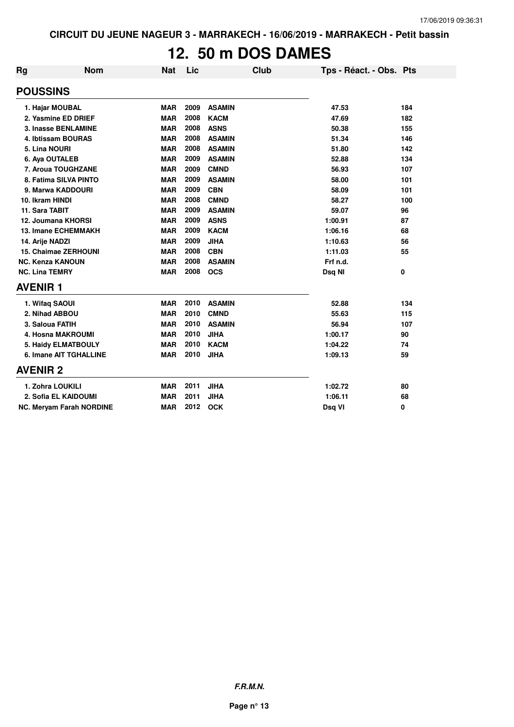### **12. 50 m DOS DAMES**

| <b>Rg</b>                       | <b>Nom</b> | <b>Nat</b> | Lic  | <b>Club</b>   | Tps - Réact. - Obs. Pts |     |
|---------------------------------|------------|------------|------|---------------|-------------------------|-----|
| <b>POUSSINS</b>                 |            |            |      |               |                         |     |
| 1. Hajar MOUBAL                 |            | <b>MAR</b> | 2009 | <b>ASAMIN</b> | 47.53                   | 184 |
| 2. Yasmine ED DRIEF             |            | <b>MAR</b> | 2008 | <b>KACM</b>   | 47.69                   | 182 |
| 3. Inasse BENLAMINE             |            | <b>MAR</b> | 2008 | <b>ASNS</b>   | 50.38                   | 155 |
| 4. Ibtissam BOURAS              |            | <b>MAR</b> | 2008 | <b>ASAMIN</b> | 51.34                   | 146 |
| 5. Lina NOURI                   |            | <b>MAR</b> | 2008 | <b>ASAMIN</b> | 51.80                   | 142 |
| 6. Aya OUTALEB                  |            | <b>MAR</b> | 2009 | <b>ASAMIN</b> | 52.88                   | 134 |
| 7. Aroua TOUGHZANE              |            | <b>MAR</b> | 2009 | <b>CMND</b>   | 56.93                   | 107 |
| 8. Fatima SILVA PINTO           |            | <b>MAR</b> | 2009 | <b>ASAMIN</b> | 58.00                   | 101 |
| 9. Marwa KADDOURI               |            | <b>MAR</b> | 2009 | <b>CBN</b>    | 58.09                   | 101 |
| 10. Ikram HINDI                 |            | <b>MAR</b> | 2008 | <b>CMND</b>   | 58.27                   | 100 |
| 11. Sara TABIT                  |            | <b>MAR</b> | 2009 | <b>ASAMIN</b> | 59.07                   | 96  |
| 12. Joumana KHORSI              |            | <b>MAR</b> | 2009 | <b>ASNS</b>   | 1:00.91                 | 87  |
| <b>13. Imane ECHEMMAKH</b>      |            | <b>MAR</b> | 2009 | <b>KACM</b>   | 1:06.16                 | 68  |
| 14. Arije NADZI                 |            | <b>MAR</b> | 2009 | <b>JIHA</b>   | 1:10.63                 | 56  |
| <b>15. Chaimae ZERHOUNI</b>     |            | <b>MAR</b> | 2008 | <b>CBN</b>    | 1:11.03                 | 55  |
| <b>NC. Kenza KANOUN</b>         |            | <b>MAR</b> | 2008 | <b>ASAMIN</b> | Frf n.d.                |     |
| <b>NC. Lina TEMRY</b>           |            | <b>MAR</b> | 2008 | <b>OCS</b>    | Dsq NI                  | 0   |
| <b>AVENIR1</b>                  |            |            |      |               |                         |     |
| 1. Wifaq SAOUI                  |            | <b>MAR</b> | 2010 | <b>ASAMIN</b> | 52.88                   | 134 |
| 2. Nihad ABBOU                  |            | <b>MAR</b> | 2010 | <b>CMND</b>   | 55.63                   | 115 |
| 3. Saloua FATIH                 |            | <b>MAR</b> | 2010 | <b>ASAMIN</b> | 56.94                   | 107 |
| 4. Hosna MAKROUMI               |            | <b>MAR</b> | 2010 | <b>JIHA</b>   | 1:00.17                 | 90  |
| 5. Haidy ELMATBOULY             |            | <b>MAR</b> | 2010 | <b>KACM</b>   | 1:04.22                 | 74  |
| <b>6. Imane AIT TGHALLINE</b>   |            | <b>MAR</b> | 2010 | <b>JIHA</b>   | 1:09.13                 | 59  |
| <b>AVENIR 2</b>                 |            |            |      |               |                         |     |
| 1. Zohra LOUKILI                |            | <b>MAR</b> | 2011 | <b>JIHA</b>   | 1:02.72                 | 80  |
| 2. Sofia EL KAIDOUMI            |            | <b>MAR</b> | 2011 | <b>JIHA</b>   | 1:06.11                 | 68  |
| <b>NC. Meryam Farah NORDINE</b> |            | <b>MAR</b> | 2012 | <b>OCK</b>    | Dsq VI                  | 0   |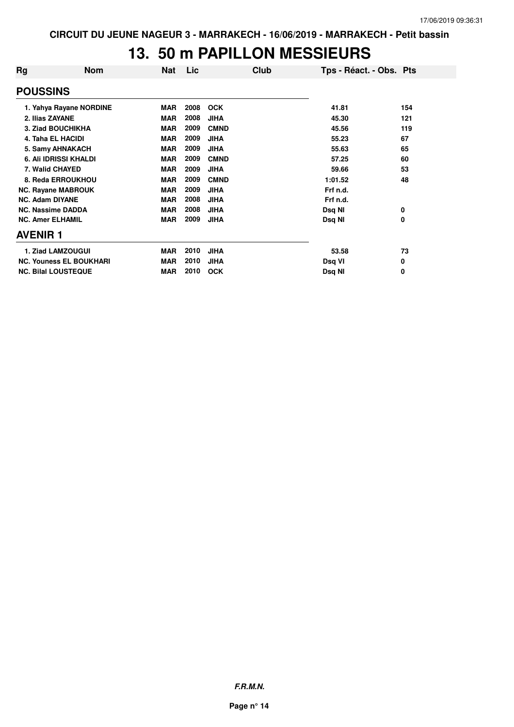# **13. 50 m PAPILLON MESSIEURS**

| Rg                           | <b>Nom</b>                     | Nat        | Lic  | Club        | Tps - Réact. - Obs. Pts |     |
|------------------------------|--------------------------------|------------|------|-------------|-------------------------|-----|
| <b>POUSSINS</b>              |                                |            |      |             |                         |     |
|                              | 1. Yahya Rayane NORDINE        | <b>MAR</b> | 2008 | <b>OCK</b>  | 41.81                   | 154 |
|                              | 2. Ilias ZAYANE                | <b>MAR</b> | 2008 | <b>JIHA</b> | 45.30                   | 121 |
| 3. Ziad BOUCHIKHA            |                                | <b>MAR</b> | 2009 | <b>CMND</b> | 45.56                   | 119 |
| <b>4. Taha EL HACIDI</b>     |                                | <b>MAR</b> | 2009 | <b>JIHA</b> | 55.23                   | 67  |
| 5. Samy AHNAKACH             |                                | <b>MAR</b> | 2009 | <b>JIHA</b> | 55.63                   | 65  |
| <b>6. Ali IDRISSI KHALDI</b> |                                | <b>MAR</b> | 2009 | <b>CMND</b> | 57.25                   | 60  |
| 7. Walid CHAYED              |                                | <b>MAR</b> | 2009 | <b>JIHA</b> | 59.66                   | 53  |
| 8. Reda ERROUKHOU            |                                | <b>MAR</b> | 2009 | <b>CMND</b> | 1:01.52                 | 48  |
|                              | <b>NC. Rayane MABROUK</b>      | <b>MAR</b> | 2009 | <b>JIHA</b> | Frf n.d.                |     |
|                              | <b>NC. Adam DIYANE</b>         | <b>MAR</b> | 2008 | <b>JIHA</b> | Frf n.d.                |     |
|                              | <b>NC. Nassime DADDA</b>       | <b>MAR</b> | 2008 | <b>JIHA</b> | Dsq NI                  | 0   |
|                              | <b>NC. Amer ELHAMIL</b>        | <b>MAR</b> | 2009 | <b>JIHA</b> | Dsq NI                  | 0   |
| <b>AVENIR 1</b>              |                                |            |      |             |                         |     |
|                              | 1. Ziad LAMZOUGUI              | <b>MAR</b> | 2010 | <b>JIHA</b> | 53.58                   | 73  |
|                              | <b>NC. Youness EL BOUKHARI</b> | <b>MAR</b> | 2010 | <b>JIHA</b> | Dsq VI                  | 0   |
| <b>NC. Bilal LOUSTEQUE</b>   |                                | <b>MAR</b> | 2010 | <b>OCK</b>  | Dsq NI                  | 0   |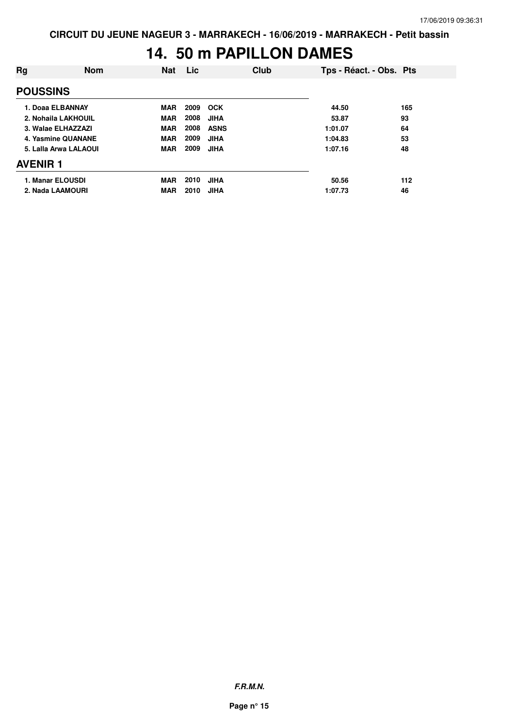### **14. 50 m PAPILLON DAMES**

| Rg                    | <b>Nom</b> | <b>Nat</b> | <b>Lic</b> |             | Club | Tps - Réact. - Obs. Pts |     |
|-----------------------|------------|------------|------------|-------------|------|-------------------------|-----|
| <b>POUSSINS</b>       |            |            |            |             |      |                         |     |
| 1. Doaa ELBANNAY      |            | <b>MAR</b> | 2009       | <b>OCK</b>  |      | 44.50                   | 165 |
| 2. Nohaila LAKHOUIL   |            | <b>MAR</b> | 2008       | <b>JIHA</b> |      | 53.87                   | 93  |
| 3. Walae ELHAZZAZI    |            | <b>MAR</b> | 2008       | <b>ASNS</b> |      | 1:01.07                 | 64  |
| 4. Yasmine QUANANE    |            | <b>MAR</b> | 2009       | <b>JIHA</b> |      | 1:04.83                 | 53  |
| 5. Lalla Arwa LALAOUI |            | <b>MAR</b> | 2009       | <b>JIHA</b> |      | 1:07.16                 | 48  |
| <b>AVENIR 1</b>       |            |            |            |             |      |                         |     |
| 1. Manar ELOUSDI      |            | <b>MAR</b> | 2010       | <b>JIHA</b> |      | 50.56                   | 112 |
| 2. Nada LAAMOURI      |            | <b>MAR</b> | 2010       | <b>JIHA</b> |      | 1:07.73                 | 46  |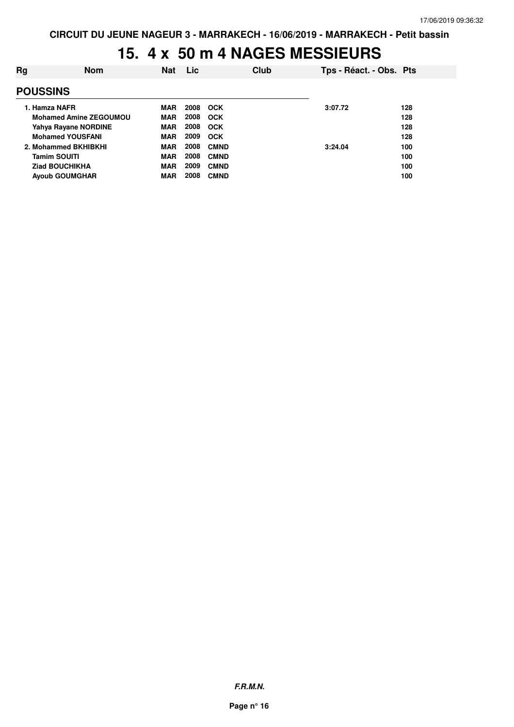# **15. 4 x 50 m 4 NAGES MESSIEURS**

| Rg                            | <b>Nom</b>            | <b>Nat</b> | <b>Lic</b> |             | Club | Tps - Réact. - Obs. Pts |     |
|-------------------------------|-----------------------|------------|------------|-------------|------|-------------------------|-----|
| <b>POUSSINS</b>               |                       |            |            |             |      |                         |     |
|                               | 1. Hamza NAFR         | <b>MAR</b> | 2008       | <b>OCK</b>  |      | 3:07.72                 | 128 |
| <b>Mohamed Amine ZEGOUMOU</b> |                       | <b>MAR</b> | 2008       | <b>OCK</b>  |      |                         | 128 |
| Yahya Rayane NORDINE          |                       | <b>MAR</b> | 2008       | <b>OCK</b>  |      |                         | 128 |
| <b>Mohamed YOUSFANI</b>       |                       | <b>MAR</b> | 2009       | <b>OCK</b>  |      |                         | 128 |
| 2. Mohammed BKHIBKHI          |                       | <b>MAR</b> | 2008       | <b>CMND</b> |      | 3:24.04                 | 100 |
|                               | <b>Tamim SOUITI</b>   | <b>MAR</b> | 2008       | <b>CMND</b> |      |                         | 100 |
|                               | <b>Ziad BOUCHIKHA</b> | <b>MAR</b> | 2009       | <b>CMND</b> |      |                         | 100 |
| <b>Ayoub GOUMGHAR</b>         |                       | <b>MAR</b> | 2008       | <b>CMND</b> |      |                         | 100 |
|                               |                       |            |            |             |      |                         |     |